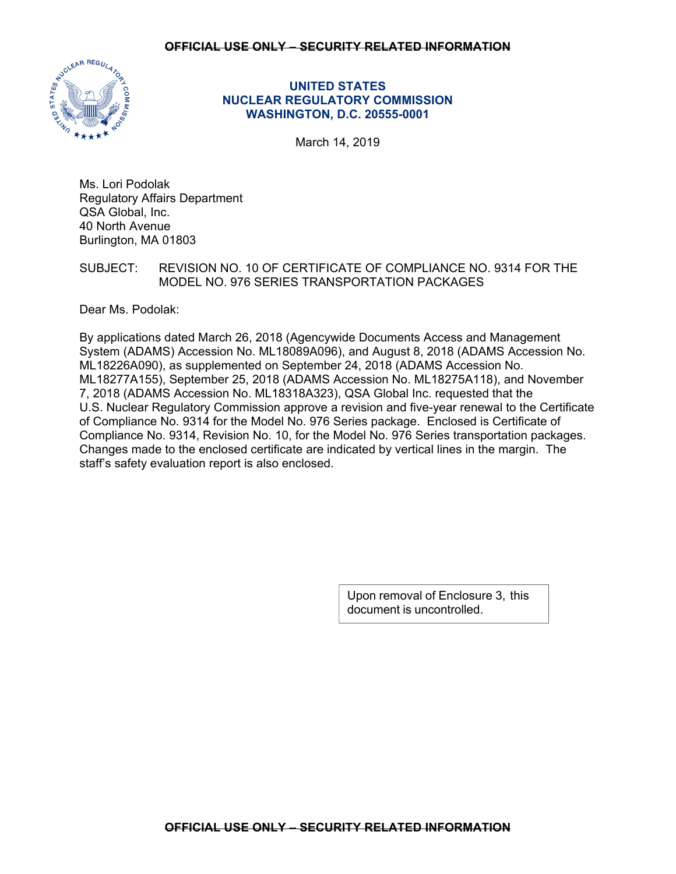## **OFFICIAL USE ONLY – SECURITY RELATED INFORMATION**



# **UNITED STATES NUCLEAR REGULATORY COMMISSION WASHINGTON, D.C. 20555-0001**

March 14, 2019

Ms. Lori Podolak Regulatory Affairs Department QSA Global, Inc. 40 North Avenue Burlington, MA 01803

# SUBJECT: REVISION NO. 10 OF CERTIFICATE OF COMPLIANCE NO. 9314 FOR THE MODEL NO. 976 SERIES TRANSPORTATION PACKAGES

Dear Ms. Podolak:

By applications dated March 26, 2018 (Agencywide Documents Access and Management System (ADAMS) Accession No. ML18089A096), and August 8, 2018 (ADAMS Accession No. ML18226A090), as supplemented on September 24, 2018 (ADAMS Accession No. ML18277A155), September 25, 2018 (ADAMS Accession No. ML18275A118), and November 7, 2018 (ADAMS Accession No. ML18318A323), QSA Global Inc. requested that the U.S. Nuclear Regulatory Commission approve a revision and five-year renewal to the Certificate of Compliance No. 9314 for the Model No. 976 Series package. Enclosed is Certificate of Compliance No. 9314, Revision No. 10, for the Model No. 976 Series transportation packages. Changes made to the enclosed certificate are indicated by vertical lines in the margin. The staff's safety evaluation report is also enclosed.

> Upon removal of Enclosure 3, this document is uncontrolled.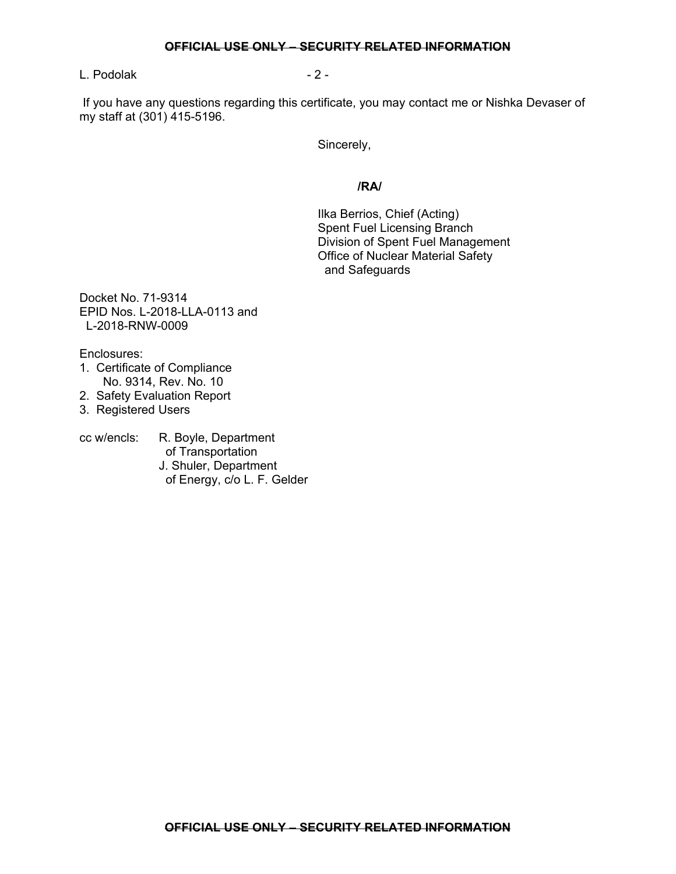#### **OFFICIAL USE ONLY – SECURITY RELATED INFORMATION**

L. Podolak - 2 -

 If you have any questions regarding this certificate, you may contact me or Nishka Devaser of my staff at (301) 415-5196.

Sincerely,

## **/RA/**

Ilka Berrios, Chief (Acting) Spent Fuel Licensing Branch Division of Spent Fuel Management Office of Nuclear Material Safety and Safeguards

Docket No. 71-9314 EPID Nos. L-2018-LLA-0113 and L-2018-RNW-0009

Enclosures:

- 1. Certificate of Compliance No. 9314, Rev. No. 10
- 2. Safety Evaluation Report
- 3. Registered Users

cc w/encls: R. Boyle, Department of Transportation J. Shuler, Department of Energy, c/o L. F. Gelder